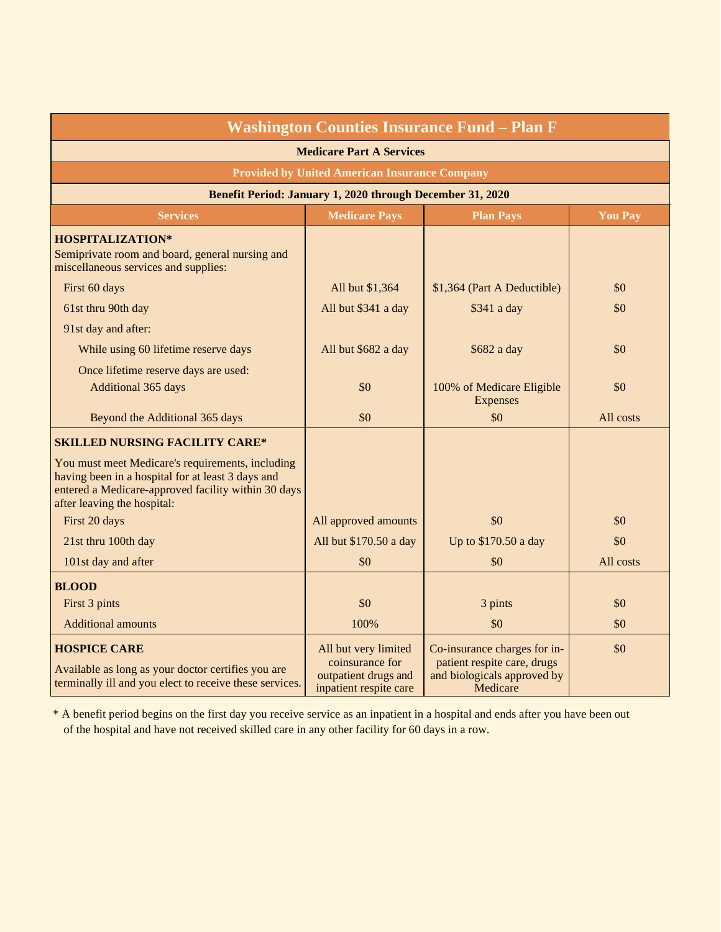| <b>Washington Counties Insurance Fund - Plan F</b><br><b>Medicare Part A Services</b><br><b>Provided by United American Insurance Company</b>                                               |                                                                                           |                                                                                                        |           |  |  |                                                           |                      |                  |                |  |
|---------------------------------------------------------------------------------------------------------------------------------------------------------------------------------------------|-------------------------------------------------------------------------------------------|--------------------------------------------------------------------------------------------------------|-----------|--|--|-----------------------------------------------------------|----------------------|------------------|----------------|--|
|                                                                                                                                                                                             |                                                                                           |                                                                                                        |           |  |  | Benefit Period: January 1, 2020 through December 31, 2020 |                      |                  |                |  |
|                                                                                                                                                                                             |                                                                                           |                                                                                                        |           |  |  | <b>Services</b>                                           | <b>Medicare Pays</b> | <b>Plan Pays</b> | <b>You Pay</b> |  |
| <b>HOSPITALIZATION*</b><br>Semiprivate room and board, general nursing and<br>miscellaneous services and supplies:                                                                          |                                                                                           |                                                                                                        |           |  |  |                                                           |                      |                  |                |  |
| First 60 days                                                                                                                                                                               | All but \$1,364                                                                           | \$1,364 (Part A Deductible)                                                                            | \$0       |  |  |                                                           |                      |                  |                |  |
| 61st thru 90th day                                                                                                                                                                          | All but \$341 a day                                                                       | \$341 a day                                                                                            | \$0       |  |  |                                                           |                      |                  |                |  |
| 91st day and after:                                                                                                                                                                         |                                                                                           |                                                                                                        |           |  |  |                                                           |                      |                  |                |  |
| While using 60 lifetime reserve days                                                                                                                                                        | All but \$682 a day                                                                       | \$682 a day                                                                                            | \$0       |  |  |                                                           |                      |                  |                |  |
| Once lifetime reserve days are used:<br>Additional 365 days                                                                                                                                 | \$0                                                                                       | 100% of Medicare Eligible<br><b>Expenses</b>                                                           | \$0       |  |  |                                                           |                      |                  |                |  |
| Beyond the Additional 365 days                                                                                                                                                              | \$0                                                                                       | \$0                                                                                                    | All costs |  |  |                                                           |                      |                  |                |  |
| <b>SKILLED NURSING FACILITY CARE*</b>                                                                                                                                                       |                                                                                           |                                                                                                        |           |  |  |                                                           |                      |                  |                |  |
| You must meet Medicare's requirements, including<br>having been in a hospital for at least 3 days and<br>entered a Medicare-approved facility within 30 days<br>after leaving the hospital: |                                                                                           |                                                                                                        |           |  |  |                                                           |                      |                  |                |  |
| First 20 days                                                                                                                                                                               | All approved amounts                                                                      | \$0                                                                                                    | \$0       |  |  |                                                           |                      |                  |                |  |
| 21st thru 100th day                                                                                                                                                                         | All but \$170.50 a day                                                                    | Up to \$170.50 a day                                                                                   | \$0       |  |  |                                                           |                      |                  |                |  |
| 101st day and after                                                                                                                                                                         | \$0                                                                                       | \$0                                                                                                    | All costs |  |  |                                                           |                      |                  |                |  |
| <b>BLOOD</b>                                                                                                                                                                                |                                                                                           |                                                                                                        |           |  |  |                                                           |                      |                  |                |  |
| First 3 pints                                                                                                                                                                               | \$0                                                                                       | 3 pints                                                                                                | \$0       |  |  |                                                           |                      |                  |                |  |
| <b>Additional amounts</b>                                                                                                                                                                   | 100%                                                                                      | \$0                                                                                                    | \$0       |  |  |                                                           |                      |                  |                |  |
| <b>HOSPICE CARE</b><br>Available as long as your doctor certifies you are<br>terminally ill and you elect to receive these services.                                                        | All but very limited<br>coinsurance for<br>outpatient drugs and<br>inpatient respite care | Co-insurance charges for in-<br>patient respite care, drugs<br>and biologicals approved by<br>Medicare | \$0       |  |  |                                                           |                      |                  |                |  |

\* A benefit period begins on the first day you receive service as an inpatient in a hospital and ends after you have been out of the hospital and have not received skilled care in any other facility for 60 days in a row.